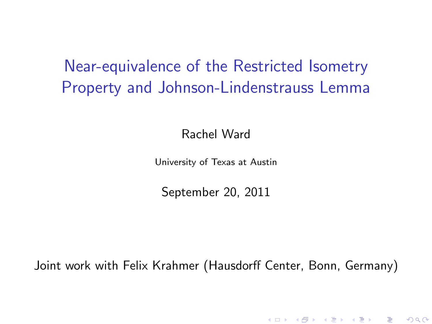Near-equivalence of the Restricted Isometry Property and Johnson-Lindenstrauss Lemma

Rachel Ward

University of Texas at Austin

September 20, 2011

Joint work with Felix Krahmer (Hausdorff Center, Bonn, Germany)

メロト メ御 トメ 君 トメ 君 トッ 君 し

 $299$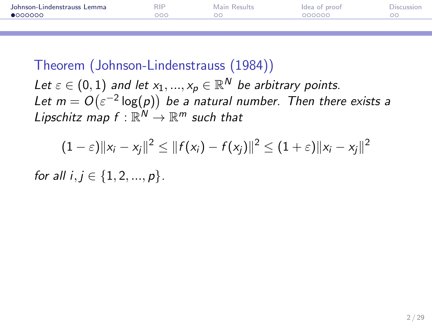| Johnson-Lindenstrauss Lemma | <b>RIP</b> | Main Results | Idea of proof | Discussion |
|-----------------------------|------------|--------------|---------------|------------|
| •000000                     | 200        | nc           | 000000        |            |
|                             |            |              |               |            |

Let  $\varepsilon \in (0,1)$  and let  $x_1,...,x_p \in \mathbb{R}^N$  be arbitrary points. Let  $m = O(\varepsilon^{-2} \log(p))$  be a natural number. Then there exists a Lipschitz map  $f : \mathbb{R}^N \to \mathbb{R}^m$  such that

<span id="page-1-0"></span>
$$
(1-\varepsilon) \|x_i - x_j\|^2 \le \|f(x_i) - f(x_j)\|^2 \le (1+\varepsilon) \|x_i - x_j\|^2
$$

for all  $i, j \in \{1, 2, ..., p\}$ .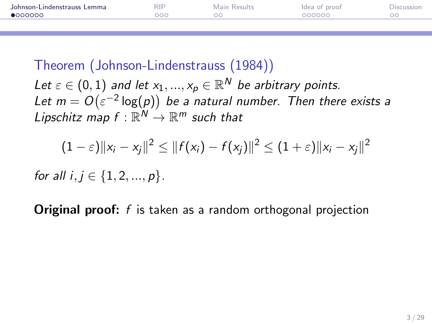| Johnson-Lindenstrauss Lemma | <b>RIP</b> | Main Results | Idea of proof | Discussion |
|-----------------------------|------------|--------------|---------------|------------|
| 0000000                     | 200        |              | 000000        |            |
|                             |            |              |               |            |

Let  $\varepsilon \in (0,1)$  and let  $x_1,...,x_p \in \mathbb{R}^N$  be arbitrary points. Let  $m = O(\varepsilon^{-2} \log(p))$  be a natural number. Then there exists a Lipschitz map  $f : \mathbb{R}^N \to \mathbb{R}^m$  such that

$$
(1-\varepsilon) \|x_i - x_j\|^2 \le \|f(x_i) - f(x_j)\|^2 \le (1+\varepsilon) \|x_i - x_j\|^2
$$

for all  $i, j \in \{1, 2, ..., p\}$ .

**Original proof:** f is taken as a random orthogonal projection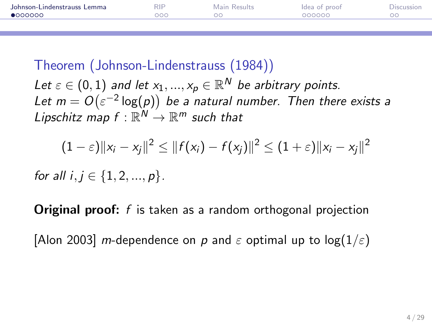| Johnson-Lindenstrauss Lemma | <b>RIP</b> | Main Results | Idea of proof | Discussion |
|-----------------------------|------------|--------------|---------------|------------|
| 0000000                     | 200        |              | 000000        |            |
|                             |            |              |               |            |

Let  $\varepsilon \in (0,1)$  and let  $x_1,...,x_p \in \mathbb{R}^N$  be arbitrary points. Let  $m = O(\varepsilon^{-2} \log(p))$  be a natural number. Then there exists a Lipschitz map  $f : \mathbb{R}^N \to \mathbb{R}^m$  such that

$$
(1-\varepsilon) \|x_i - x_j\|^2 \le \|f(x_i) - f(x_j)\|^2 \le (1+\varepsilon) \|x_i - x_j\|^2
$$

for all  $i, j \in \{1, 2, ..., p\}$ .

**Original proof:** f is taken as a random orthogonal projection

[Alon 2003] m-dependence on p and  $\varepsilon$  optimal up to log( $1/\varepsilon$ )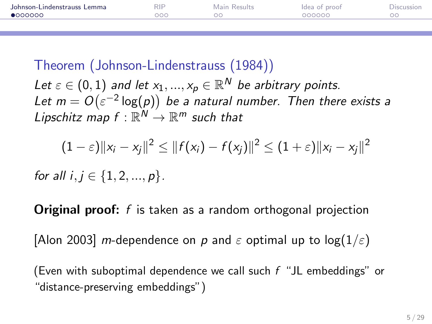| Johnson-Lindenstrauss Lemma | <b>RIP</b> | Main Results | Idea of proof | Discussion |
|-----------------------------|------------|--------------|---------------|------------|
| $\bullet$ $000000$          | DOC        |              | 000000        |            |
|                             |            |              |               |            |

Let  $\varepsilon \in (0,1)$  and let  $x_1,...,x_p \in \mathbb{R}^N$  be arbitrary points. Let  $m = O(\varepsilon^{-2} \log(p))$  be a natural number. Then there exists a Lipschitz map  $f : \mathbb{R}^N \to \mathbb{R}^m$  such that

$$
(1-\varepsilon) \|x_i - x_j\|^2 \le \|f(x_i) - f(x_j)\|^2 \le (1+\varepsilon) \|x_i - x_j\|^2
$$

for all  $i, j \in \{1, 2, ..., p\}$ .

**Original proof:** f is taken as a random orthogonal projection

[Alon 2003] m-dependence on p and  $\varepsilon$  optimal up to log( $1/\varepsilon$ )

(Even with suboptimal dependence we call such  $f$  "JL embeddings" or "distance-preserving embeddings")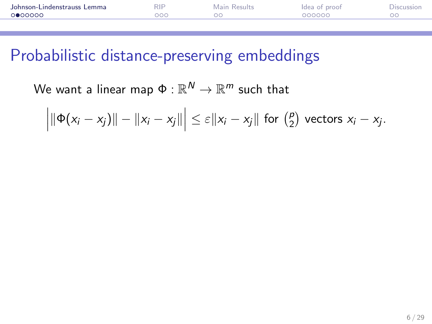| Johnson-Lindenstrauss Lemma | <b>RIP</b> | Main Results | Idea of proof | Discussion |
|-----------------------------|------------|--------------|---------------|------------|
| റ●ററററ                      | 200        |              | 000000        |            |
|                             |            |              |               |            |

#### Probabilistic distance-preserving embeddings

We want a linear map  $\Phi:\mathbb{R}^{\textit{N}}\rightarrow\mathbb{R}^{\textit{m}}$  such that

$$
\left|\|\Phi(x_i-x_j)\|-\|x_i-x_j\|\right|\leq \varepsilon\|x_i-x_j\| \text{ for } \left(\begin{matrix}p\\2\end{matrix}\right) \text{ vectors } x_i-x_j.
$$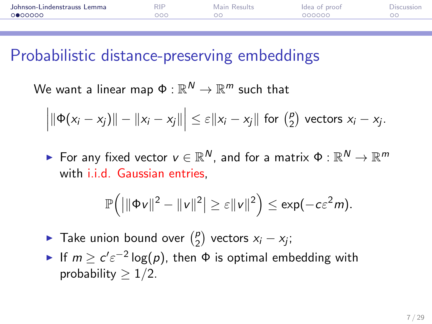| Johnson-Lindenstrauss Lemma | RIP | Main Results | Idea of proof | Discussion |
|-----------------------------|-----|--------------|---------------|------------|
| 0000000                     | າດດ |              | 000000        |            |
|                             |     |              |               |            |

#### Probabilistic distance-preserving embeddings

We want a linear map  $\Phi:\mathbb{R}^{\textit{N}}\rightarrow\mathbb{R}^{\textit{m}}$  such that

$$
\left|\|\Phi(x_i-x_j)\|-\|x_i-x_j\|\right|\leq \varepsilon\|x_i-x_j\| \text{ for } \binom{p}{2} \text{ vectors } x_i-x_j.
$$

 $\blacktriangleright$  For any fixed vector  $v\in\mathbb{R}^N$ , and for a matrix  $\Phi:\mathbb{R}^N\to\mathbb{R}^m$ with i.i.d. Gaussian entries,

$$
\mathbb{P}\Big(\big|\|\Phi\mathsf{v}\|^2-\|\mathsf{v}\|^2\big|\ge\varepsilon\|\mathsf{v}\|^2\Big)\le\exp(-c\varepsilon^2m).
$$

- $\blacktriangleright$  Take union bound over  $\binom{p}{2}$  $\binom{p}{2}$  vectors  $x_i - x_j$ ;
- If  $m \geq c' \varepsilon^{-2} \log(p)$ , then  $\Phi$  is optimal embedding with probability  $> 1/2$ .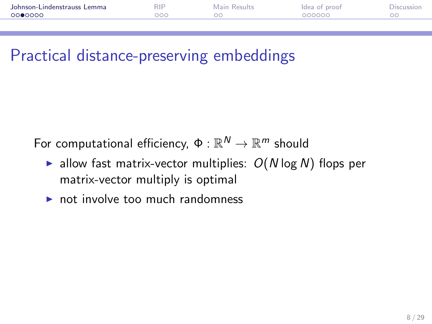| Johnson-Lindenstrauss Lemma | <b>RIP</b> | Main Results | Idea of proof | <b>JISCUSSIO</b> |
|-----------------------------|------------|--------------|---------------|------------------|
| 0000000                     | ooc        |              | 000000        |                  |
|                             |            |              |               |                  |

# Practical distance-preserving embeddings

For computational efficiency,  $\Phi:\mathbb{R}^{\textit{N}}\rightarrow\mathbb{R}^{\textit{m}}$  should

- lace allow fast matrix-vector multiplies:  $O(N \log N)$  flops per matrix-vector multiply is optimal
- $\triangleright$  not involve too much randomness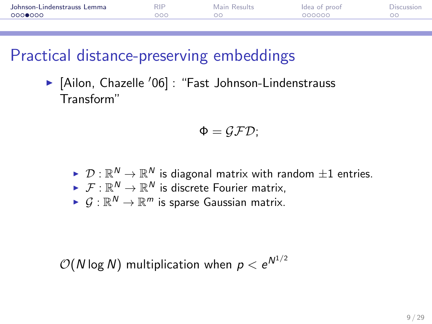| Johnson-Lindenstrauss Lemma | <b>RIP</b> | Main Results | Idea of proof | Discussion |
|-----------------------------|------------|--------------|---------------|------------|
| റററ⊜റററ                     |            |              | 000000        |            |
|                             |            |              |               |            |

# Practical distance-preserving embeddings

 $\blacktriangleright$  [Ailon, Chazelle '06] : "Fast Johnson-Lindenstrauss Transform"

$$
\Phi = \mathcal{GFD};
$$

- $\blacktriangleright \;\mathcal{D}:\mathbb{R}^N\to\mathbb{R}^N$  is diagonal matrix with random  $\pm 1$  entries.
- $\blacktriangleright~~ \mathcal{F}:\mathbb{R}^{\mathsf{N}}\to\mathbb{R}^{\mathsf{N}}$  is discrete Fourier matrix,
- $\blacktriangleright~\mathcal{G}:\mathbb{R}^N\to\mathbb{R}^m$  is sparse Gaussian matrix.

$$
\mathcal{O}(N \log N)
$$
 multiplication when  $p < e^{N^{1/2}}$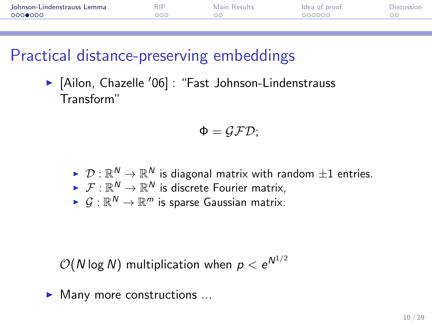| Johnson-Lindenstrauss Lemma | <b>RIP</b> | Main Results | Idea of proof | <b>Discussion</b> |
|-----------------------------|------------|--------------|---------------|-------------------|
| 0000000                     | DOC        |              | 000000        |                   |
|                             |            |              |               |                   |

# Practical distance-preserving embeddings

 $\blacktriangleright$  [Ailon, Chazelle '06] : "Fast Johnson-Lindenstrauss Transform"

$$
\Phi = \mathcal{GFD};
$$

- $\blacktriangleright \;\mathcal{D}:\mathbb{R}^N\to\mathbb{R}^N$  is diagonal matrix with random  $\pm 1$  entries.
- $\blacktriangleright~~ \mathcal{F}:\mathbb{R}^{\mathsf{N}}\to\mathbb{R}^{\mathsf{N}}$  is discrete Fourier matrix,
- $\blacktriangleright~\mathcal{G}:\mathbb{R}^N\to\mathbb{R}^m$  is sparse Gaussian matrix.

 $\mathcal{O}(N\log N)$  multiplication when  $\rho < e^{N^{1/2}}$ 

 $\blacktriangleright$  Many more constructions ...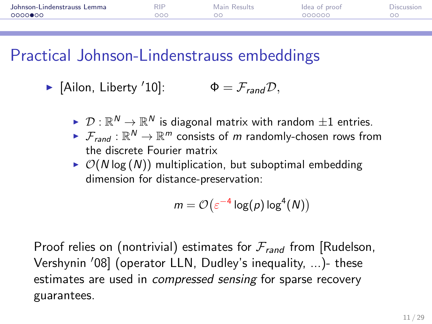| Johnson-Lindenstrauss Lemma | <b>RIP</b> | Main Results | Idea of proof | Discussion |
|-----------------------------|------------|--------------|---------------|------------|
| 0000000                     |            |              | 000000        |            |
|                             |            |              |               |            |

#### Practical Johnson-Lindenstrauss embeddings

 $\blacktriangleright$  [Ailon, Liberty '10]:  $\Phi = \mathcal{F}_{rand}D$ ,

- $\blacktriangleright \;\mathcal{D}:\mathbb{R}^N\to\mathbb{R}^N$  is diagonal matrix with random  $\pm 1$  entries.
- $\blacktriangleright$   $\mathcal{F}_{rand}: \mathbb{R}^N \to \mathbb{R}^m$  consists of  $m$  randomly-chosen rows from the discrete Fourier matrix
- $\triangleright$   $\mathcal{O}(N \log(N))$  multiplication, but suboptimal embedding dimension for distance-preservation:

$$
m = \mathcal{O}\left(\varepsilon^{-4}\log(p)\log^4(N)\right)
$$

Proof relies on (nontrivial) estimates for  $\mathcal{F}_{rand}$  from [Rudelson, Vershynin '08] (operator LLN, Dudley's inequality, ...)- these estimates are used in *compressed sensing* for sparse recovery guarantees.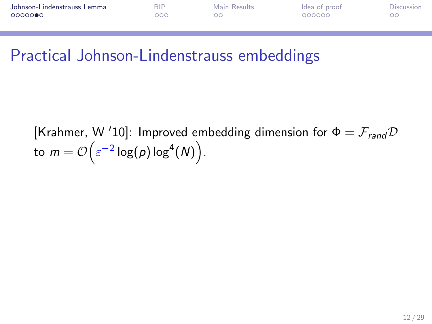| Johnson-Lindenstrauss Lemma | RIP | Main Results | Idea of proof | Discussion |
|-----------------------------|-----|--------------|---------------|------------|
| ○○○○○●○                     | ooc |              | 000000        |            |
|                             |     |              |               |            |

#### Practical Johnson-Lindenstrauss embeddings

[Krahmer, W '10]: Improved embedding dimension for  $\Phi = \mathcal{F}_{rand} \mathcal{D}$ to  $m = \mathcal{O}\!\left(\varepsilon^{-2}\log(\rho)\log^4(N)\right)$  .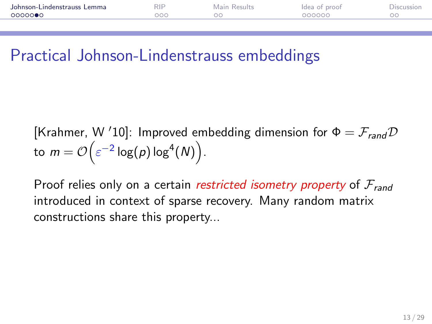| Johnson-Lindenstrauss Lemma | <b>RIP</b> | Main Results | Idea of proof | <b>JISCUSSIO</b> |
|-----------------------------|------------|--------------|---------------|------------------|
| 0000000                     | ೨೦೧        | ЭC           | 000000        |                  |
|                             |            |              |               |                  |

#### Practical Johnson-Lindenstrauss embeddings

[Krahmer, W '10]: Improved embedding dimension for  $\Phi = \mathcal{F}_{rand} \mathcal{D}$ to  $m = \mathcal{O}\!\left(\varepsilon^{-2}\log(\rho)\log^4(N)\right)$  .

Proof relies only on a certain *restricted isometry property* of  $\mathcal{F}_{rand}$ introduced in context of sparse recovery. Many random matrix constructions share this property...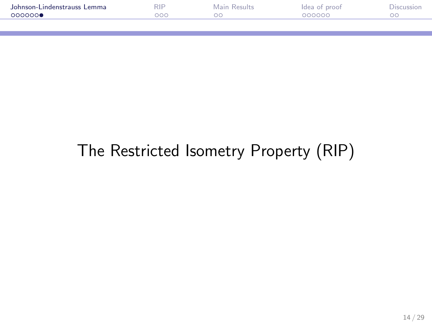| Johnson-Lindenstrauss Lemma | RIP | Main Results | Idea of proof | Discussion |
|-----------------------------|-----|--------------|---------------|------------|
| COOOOOO                     | ാററ | DС           | 000000        |            |
|                             |     |              |               |            |

# The Restricted Isometry Property (RIP)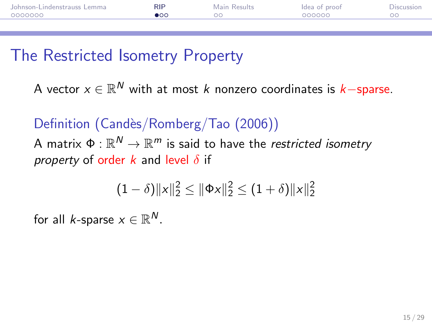| Johnson-Lindenstrauss Lemma | <b>RIP</b> | Main Results | Idea of proof | Discussion |
|-----------------------------|------------|--------------|---------------|------------|
| 0000000                     | ∎ດດ        | ററ           | 000000        |            |
|                             |            |              |               |            |

## The Restricted Isometry Property

A vector  $x\in\mathbb{R}^N$  with at most  $k$  nonzero coordinates is  $k-$ sparse.

Definition (Candès/Romberg/Tao (2006)) A matrix  $\mathfrak{\Phi}:\mathbb{R}^N\to\mathbb{R}^m$  is said to have the *restricted isometry* property of order k and level  $\delta$  if

<span id="page-14-0"></span>
$$
(1-\delta)\|x\|_2^2 \le \|\Phi x\|_2^2 \le (1+\delta)\|x\|_2^2
$$

for all *k*-sparse  $x \in \mathbb{R}^N$ .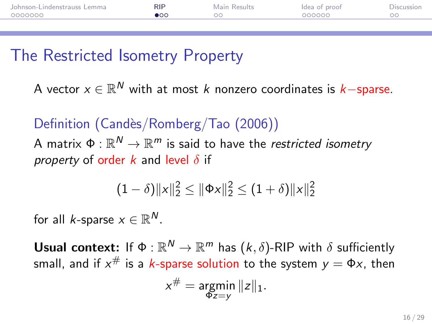| Johnson-Lindenstrauss Lemma | <b>RIP</b> | Main Results | Idea of proof | Discussion |
|-----------------------------|------------|--------------|---------------|------------|
| 0000000                     | ഹ          | ОC           | 000000        |            |
|                             |            |              |               |            |

## The Restricted Isometry Property

A vector  $x\in\mathbb{R}^N$  with at most  $k$  nonzero coordinates is  $k-$ sparse.

Definition (Candès/Romberg/Tao (2006)) A matrix  $\mathfrak{\Phi}:\mathbb{R}^N\to\mathbb{R}^m$  is said to have the *restricted isometry* property of order k and level  $\delta$  if

$$
(1-\delta)\|x\|_2^2 \le \|\Phi x\|_2^2 \le (1+\delta)\|x\|_2^2
$$

for all *k*-sparse  $x \in \mathbb{R}^N$ .

Usual context: If  $\Phi : \mathbb{R}^N \to \mathbb{R}^m$  has  $(k, \delta)$ -RIP with  $\delta$  sufficiently small, and if  $x^{\#}$  is a  $k$ -sparse solution to the system  $y=\Phi x$ , then

$$
x^{\#} = \underset{\Phi z = y}{\text{argmin}} \|z\|_1.
$$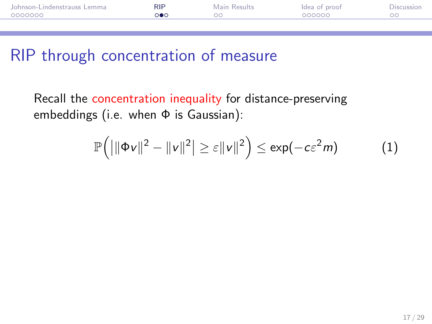| Johnson-Lindenstrauss Lemma | <b>RIP</b> | Main Results | Idea of proof | Discussion |
|-----------------------------|------------|--------------|---------------|------------|
| 0000000                     |            |              | 000000        |            |
|                             |            |              |               |            |

## RIP through concentration of measure

Recall the concentration inequality for distance-preserving embeddings (i.e. when Φ is Gaussian):

$$
\mathbb{P}\Big(\big|\|\Phi v\|^2-\|v\|^2\big|\geq \varepsilon\|v\|^2\Big)\leq \exp(-c\varepsilon^2 m)\qquad \qquad (1)
$$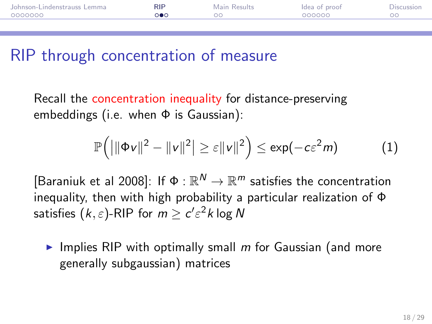| Johnson-Lindenstrauss Lemma | <b>RIP</b> | Main Results | Idea of proof | Discussion |
|-----------------------------|------------|--------------|---------------|------------|
| 0000000                     |            |              | 000000        |            |
|                             |            |              |               |            |

## RIP through concentration of measure

Recall the concentration inequality for distance-preserving embeddings (i.e. when  $\Phi$  is Gaussian):

$$
\mathbb{P}\Big(\big|\|\Phi v\|^2-\|v\|^2\big|\geq \varepsilon\|v\|^2\Big)\leq \exp(-c\varepsilon^2 m)\qquad\qquad(1)
$$

[Baraniuk et al 2008]: If  $\Phi : \mathbb{R}^N \to \mathbb{R}^m$  satisfies the concentration inequality, then with high probability a particular realization of Φ satisfies  $(k,\varepsilon)$ -RIP for  $m \ge c' \varepsilon^2 k$  log  ${\sf N}$ 

Implies RIP with optimally small  $m$  for Gaussian (and more generally subgaussian) matrices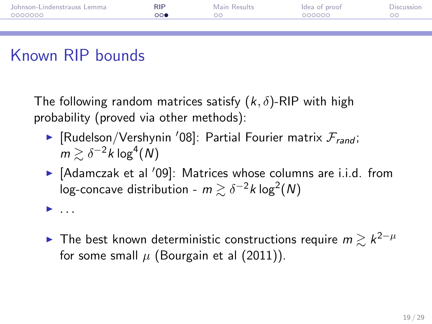| Johnson-Lindenstrauss Lemma | <b>RIP</b> | Main Results | Idea of proof | Discussion |
|-----------------------------|------------|--------------|---------------|------------|
| 0000000                     | റ∩ൈ        | oο           | 000000        |            |
|                             |            |              |               |            |

# Known RIP bounds

The following random matrices satisfy  $(k, \delta)$ -RIP with high probability (proved via other methods):

- **Figure 1** [Rudelson/Vershynin '08]: Partial Fourier matrix  $\mathcal{F}_{rand}$ ;  $m \gtrsim \delta^{-2}k\log^4(N)$
- $\blacktriangleright$  [Adamczak et al '09]: Matrices whose columns are i.i.d. from log-concave distribution -  $m \gtrsim \delta^{-2} k \log^2(N)$
- <sup>I</sup> . . .
- ▶ The best known deterministic constructions require  $m \gtrsim k^{2-\mu}$ for some small  $\mu$  (Bourgain et al (2011)).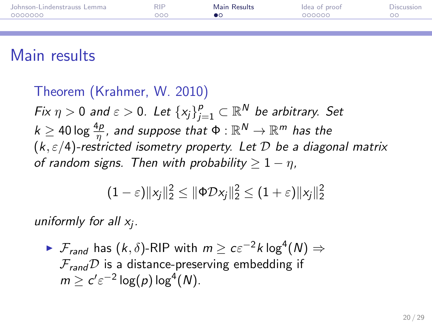| Johnson-Lindenstrauss Lemma | <b>RIP</b> | Main Results | Idea of proof | Discussion |
|-----------------------------|------------|--------------|---------------|------------|
| 0000000                     | OOC        |              | 000000        |            |
|                             |            |              |               |            |

## Main results

Theorem (Krahmer, W. 2010) Fix  $\eta>0$  and  $\varepsilon>0.$  Let  $\{x_j\}_{j=1}^p\subset \mathbb{R}^{\textsf{N}}$  be arbitrary. Set  $k\geq 40\log\frac{4p}{\eta}$ , and suppose that  $\Phi:\mathbb{R}^{N}\rightarrow\mathbb{R}^{m}$  has the  $(k, \varepsilon/4)$ -restricted isometry property. Let  $D$  be a diagonal matrix of random signs. Then with probability  $> 1 - \eta$ ,

<span id="page-19-0"></span>
$$
(1-\varepsilon)\|x_j\|_2^2 \le \|\Phi \mathcal{D} x_j\|_2^2 \le (1+\varepsilon)\|x_j\|_2^2
$$

uniformly for all  $x_j$ .

 $\blacktriangleright$   $\mathcal{F}_{rand}$  has  $(k, \delta)$ -RIP with  $m \geq c \varepsilon^{-2} k \log^4(N) \Rightarrow$  $\mathcal{F}_{rand}\mathcal{D}$  is a distance-preserving embedding if  $m \geq c' \varepsilon^{-2} \log(p) \log^4(N)$ .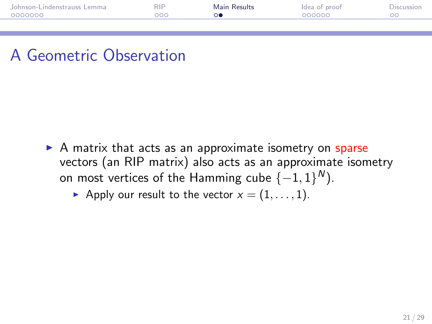| Johnson-Lindenstrauss Lemma | RIP | Main Results | Idea of proof | Discussion |
|-----------------------------|-----|--------------|---------------|------------|
| 0000000                     | ooc |              | 000000        |            |
|                             |     |              |               |            |

## A Geometric Observation

- $\triangleright$  A matrix that acts as an approximate isometry on sparse vectors (an RIP matrix) also acts as an approximate isometry on most vertices of the Hamming cube  $\{-1,1\}^N$ ).
	- Apply our result to the vector  $x = (1, \ldots, 1)$ .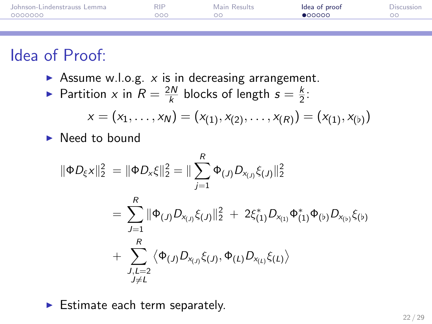| Johnson-Lindenstrauss Lemma | <b>RIP</b> | Main Results | Idea of proof   | Discussion |
|-----------------------------|------------|--------------|-----------------|------------|
| 0000000                     | 000        | ററ           | $\bullet$ 00000 | ററ         |
|                             |            |              |                 |            |

# Idea of Proof:

- Assume w.l.o.g.  $x$  is in decreasing arrangement.
- Partition x in  $R = \frac{2N}{k}$  $\frac{k}{k}$  blocks of length  $s = \frac{k}{2}$  $\frac{\kappa}{2}$ :

$$
x = (x_1, \ldots, x_N) = (x_{(1)}, x_{(2)}, \ldots, x_{(R)}) = (x_{(1)}, x_{(b)})
$$

 $\blacktriangleright$  Need to bound

$$
\|\Phi D_{\xi}x\|_{2}^{2} = \|\Phi D_{x}\xi\|_{2}^{2} = \|\sum_{j=1}^{R} \Phi_{(J)}D_{x_{(J)}}\xi_{(J)}\|_{2}^{2}
$$
  

$$
= \sum_{J=1}^{R} \|\Phi_{(J)}D_{x_{(J)}}\xi_{(J)}\|_{2}^{2} + 2\xi_{(1)}^{*}D_{x_{(1)}}\Phi_{(1)}^{*}\Phi_{(b)}D_{x_{(b)}}\xi_{(b)}
$$
  

$$
+ \sum_{\substack{J,L=2\\J\neq L}}^{R} \langle \Phi_{(J)}D_{x_{(J)}}\xi_{(J)}, \Phi_{(L)}D_{x_{(L)}}\xi_{(L)} \rangle
$$

<span id="page-21-0"></span> $\blacktriangleright$  Estimate each term separately.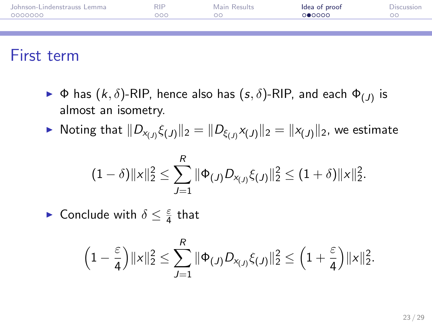| Johnson-Lindenstrauss Lemma | <b>RIP</b> | Main Results | Idea of proof | <b>Discussion</b> |
|-----------------------------|------------|--------------|---------------|-------------------|
| 0000000                     | 000        | ററ           | റ∩റററ         | nn                |
|                             |            |              |               |                   |

#### First term

- $\blacktriangleright$  Φ has  $(k, \delta)$ -RIP, hence also has  $(s, \delta)$ -RIP, and each  $\Phi_{(J)}$  is almost an isometry.
- $\blacktriangleright$  Noting that  $\|D_{\mathsf{x}_{(J)}}\xi_{(J)}\|_2 = \|D_{\xi_{(J)}}\mathsf{x}_{(J)}\|_2 = \|\mathsf{x}_{(J)}\|_2$ , we estimate

$$
(1-\delta)\|x\|_2^2 \leq \sum_{J=1}^R \|\Phi_{(J)}D_{x_{(J)}}\xi_{(J)}\|_2^2 \leq (1+\delta)\|x\|_2^2.
$$

► Conclude with  $\delta \leq \frac{\varepsilon}{4}$  $\frac{\varepsilon}{4}$  that

$$
\left(1-\frac{\varepsilon}{4}\right)\|x\|_2^2 \leq \sum_{J=1}^R \|\Phi_{(J)}D_{x_{(J)}}\xi_{(J)}\|_2^2 \leq \left(1+\frac{\varepsilon}{4}\right)\|x\|_2^2.
$$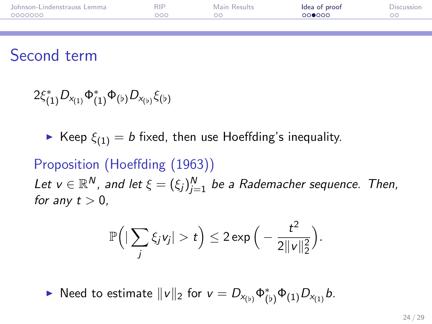| Johnson-Lindenstrauss Lemma | <b>RIP</b> | Main Results | Idea of proof | Discussion |
|-----------------------------|------------|--------------|---------------|------------|
| 0000000                     | റററ        |              | ററ∩റെ         |            |
|                             |            |              |               |            |

## Second term

 $2\xi_{(1)}^*D_{x_{(1)}}\Phi_{(1)}^*\Phi_{(b)}D_{x_{(b)}}\xi_{(b)}$ 

 $\blacktriangleright$  Keep  $\xi_{(1)} = b$  fixed, then use Hoeffding's inequality.

#### Proposition (Hoeffding (1963))

Let  $v\in \mathbb{R}^N$ , and let  $\xi=(\xi_j)_{j=1}^N$  be a Rademacher sequence. Then, for any  $t > 0$ ,

$$
\mathbb{P}\Big(|\sum_j \xi_j v_j| > t\Big) \leq 2 \exp\Big(-\frac{t^2}{2\|v\|_2^2}\Big).
$$

► Need to estimate  $||v||_2$  for  $v = D_{x_{(b)}} \Phi_{(b)}^* \Phi_{(1)} D_{x_{(1)}} b$ .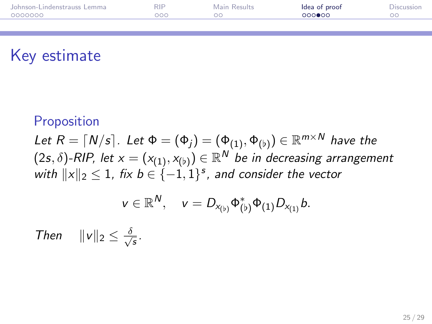| Johnson-Lindenstrauss Lemma | <b>RIP</b> | Main Results | Idea of proof | Discussion |
|-----------------------------|------------|--------------|---------------|------------|
| 0000000                     | ooc        | ገር           | 000000        |            |
|                             |            |              |               |            |

## Key estimate

#### **Proposition**

Let  $R = \lceil N/s \rceil$ . Let  $\Phi = (\Phi_j) = (\Phi_{(1)}, \Phi_{(\flat)}) \in \mathbb{R}^{m \times N}$  have the  $(2s,\delta)$ -RIP, let  $x=(x_{(1)},x_{(b)})\in \mathbb{R}^{\textsf{N}}$  be in decreasing arrangement with  $||x||_2 \leq 1$ , fix  $b \in \{-1, 1\}^s$ , and consider the vector

$$
v\in\mathbb{R}^N,\quad v=D_{x_{(b)}}\Phi_{(b)}^*\Phi_{(1)}D_{x_{(1)}}b.
$$

Then  $||v||_2 \leq \frac{\delta}{\sqrt{2}}$ s .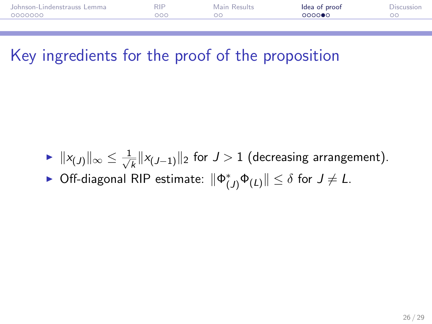| Johnson-Lindenstrauss Lemma | <b>RIP</b> | Main Results | Idea of proof | <b>Discussion</b> |
|-----------------------------|------------|--------------|---------------|-------------------|
| 0000000                     | 200        |              | റററൈ∙െ        |                   |
|                             |            |              |               |                   |

## Key ingredients for the proof of the proposition

- $\blacktriangleright$   $||x_{(J)}||_{\infty} \leq \frac{1}{\sqrt{2}}$  $\frac{1}{k} \| \mathsf{x}_{(J-1)} \|_2$  for  $J > 1$  (decreasing arrangement).
- ► Off-diagonal RIP estimate:  $\|\Phi_{(J)}^*\Phi_{(L)}\|\leq \delta$  for  $J\neq L$ .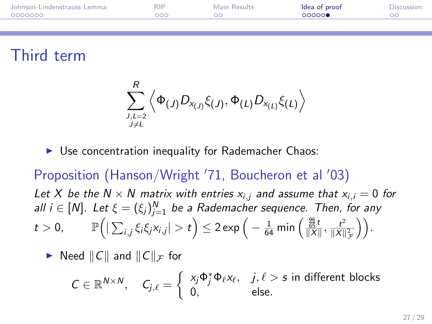| Johnson-Lindenstrauss Lemma | <b>RIP</b> | Main Results | Idea of proof | Discussion |
|-----------------------------|------------|--------------|---------------|------------|
| 0000000                     | റററ        | ററ           | 00000         | OС         |
|                             |            |              |               |            |

## Third term

$$
\sum_{\stackrel{J,L=2}{\stackrel{J\neq L}{\rightarrow}\,}}^{R}\left\langle \Phi_{\left( J\right) }D_{x_{\left( J\right) }}\xi_{\left( J\right) },\Phi_{\left( L\right) }D_{x_{\left( L\right) }}\xi_{\left( L\right) }\right\rangle
$$

 $\triangleright$  Use concentration inequality for Rademacher Chaos:

Proposition (Hanson/Wright '71, Boucheron et al '03) Let X be the  $N \times N$  matrix with entries  $x_{i,j}$  and assume that  $x_{i,j} = 0$  for all  $i\in [N]$ . Let  $\xi=(\xi_j)_{j=1}^N$  be a Rademacher sequence. Then, for any  $t>0,\qquad \mathbb{P}\Big(|\sum_{i,j}\xi_i\xi_jx_{i,j}|>t\Big)\leq 2\exp\Big(-\tfrac{1}{64}\min\Big(\tfrac{\frac{96}{65}t}{\|X\|},\tfrac{t^2}{\|X\|}$  $\frac{t^2}{\|X\|_{\mathcal{F}}^2}\bigg)\bigg).$ 

 $\blacktriangleright$  Need  $||C||$  and  $||C||_{\mathcal{F}}$  for

$$
C \in \mathbb{R}^{N \times N}, \quad C_{j,\ell} = \left\{ \begin{array}{ll} x_j \Phi_j^* \Phi_\ell x_\ell, & j,\ell > s \text{ in different blocks} \\ 0, & \text{else.} \end{array} \right.
$$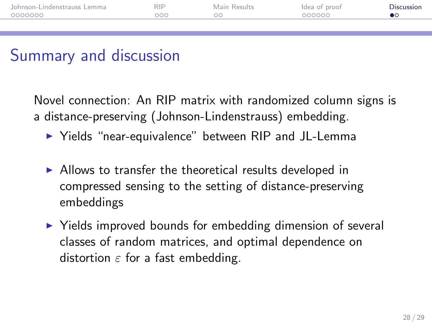| Johnson-Lindenstrauss Lemma | <b>RIP</b> | Main Results | Idea of proof | Discussion |
|-----------------------------|------------|--------------|---------------|------------|
| 0000000                     | റററ        | ററ           | 000000        |            |
|                             |            |              |               |            |

## Summary and discussion

Novel connection: An RIP matrix with randomized column signs is a distance-preserving (Johnson-Lindenstrauss) embedding.

- ▶ Yields "near-equivalence" between RIP and JL-Lemma
- $\triangleright$  Allows to transfer the theoretical results developed in compressed sensing to the setting of distance-preserving embeddings
- <span id="page-27-0"></span> $\triangleright$  Yields improved bounds for embedding dimension of several classes of random matrices, and optimal dependence on distortion  $\varepsilon$  for a fast embedding.